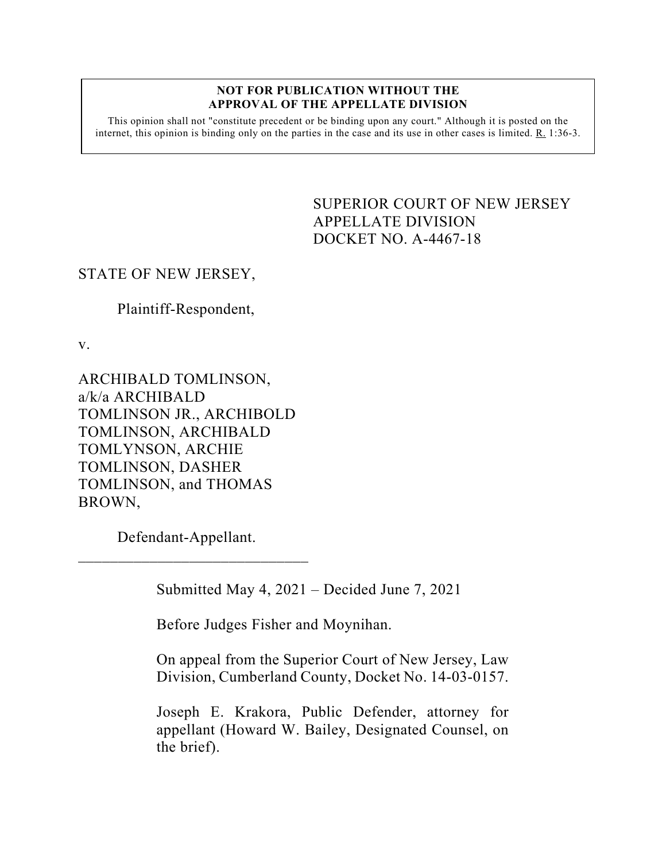## **NOT FOR PUBLICATION WITHOUT THE APPROVAL OF THE APPELLATE DIVISION**

This opinion shall not "constitute precedent or be binding upon any court." Although it is posted on the internet, this opinion is binding only on the parties in the case and its use in other cases is limited.  $R_1$  1:36-3.

> <span id="page-0-0"></span>SUPERIOR COURT OF NEW JERSEY APPELLATE DIVISION DOCKET NO. A-4467-18

## STATE OF NEW JERSEY,

Plaintiff-Respondent,

v.

ARCHIBALD TOMLINSON, a/k/a ARCHIBALD TOMLINSON JR., ARCHIBOLD TOMLINSON, ARCHIBALD TOMLYNSON, ARCHIE TOMLINSON, DASHER TOMLINSON, and THOMAS BROWN,

Defendant-Appellant.

 $\overline{\phantom{a}}$  , where the contract of the contract of the contract of the contract of the contract of the contract of the contract of the contract of the contract of the contract of the contract of the contract of the contr

Submitted May 4, 2021 – Decided June 7, 2021

Before Judges Fisher and Moynihan.

On appeal from the Superior Court of New Jersey, Law Division, Cumberland County, Docket No. 14-03-0157.

Joseph E. Krakora, Public Defender, attorney for appellant (Howard W. Bailey, Designated Counsel, on the brief).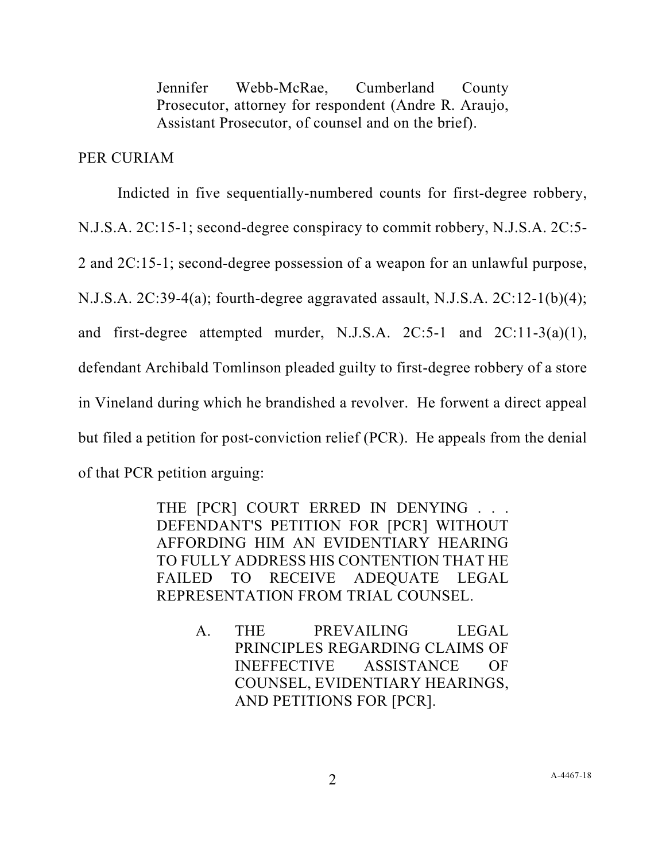Jennifer Webb-McRae, Cumberland County Prosecutor, attorney for respondent (Andre R. Araujo, Assistant Prosecutor, of counsel and on the brief).

## PER CURIAM

Indicted in five sequentially-numbered counts for first-degree robbery, N.J.S.A. 2C:15-1; second-degree conspiracy to commit robbery, N.J.S.A. 2C:5- 2 and 2C:15-1; second-degree possession of a weapon for an unlawful purpose, N.J.S.A. 2C:39-4(a); fourth-degree aggravated assault, N.J.S.A. 2C:12-1(b)(4); and first-degree attempted murder, N.J.S.A. 2C:5-1 and 2C:11-3(a)(1), defendant Archibald Tomlinson pleaded guilty to first-degree robbery of a store in Vineland during which he brandished a revolver. He forwent a direct appeal but filed a petition for post-conviction relief (PCR). He appeals from the denial of that PCR petition arguing:

> THE [PCR] COURT ERRED IN DENYING . . . DEFENDANT'S PETITION FOR [PCR] WITHOUT AFFORDING HIM AN EVIDENTIARY HEARING TO FULLY ADDRESS HIS CONTENTION THAT HE FAILED TO RECEIVE ADEQUATE LEGAL REPRESENTATION FROM TRIAL COUNSEL.

> > A. THE PREVAILING LEGAL PRINCIPLES REGARDING CLAIMS OF INEFFECTIVE ASSISTANCE OF COUNSEL, EVIDENTIARY HEARINGS, AND PETITIONS FOR [PCR].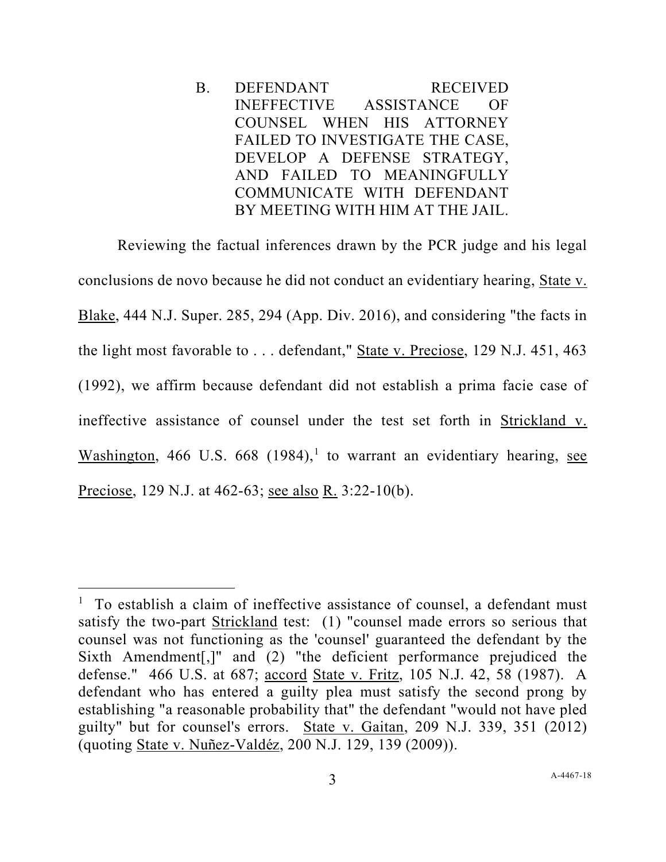B. DEFENDANT RECEIVED INEFFECTIVE ASSISTANCE OF COUNSEL WHEN HIS ATTORNEY FAILED TO INVESTIGATE THE CASE, DEVELOP A DEFENSE STRATEGY, AND FAILED TO MEANINGFULLY COMMUNICATE WITH DEFENDANT BY MEETING WITH HIM AT THE JAIL.

Reviewing the factual inferences drawn by the PCR judge and his legal conclusions de novo because he did not conduct an evidentiary hearing, State v. Blake, 444 N.J. Super. 285, 294 (App. Div. 2016), and considering "the facts in the light most favorable to . . . defendant," State v. Preciose, 129 N.J. 451, 463 (1992), we affirm because defendant did not establish a prima facie case of ineffective assistance of counsel under the test set forth in Strickland v. Washington, 466 U.S. 668 ([1](#page-2-0)984),<sup>1</sup> to warrant an evidentiary hearing, see Preciose, 129 N.J. at 462-63; see also R. 3:22-10(b).

<span id="page-2-0"></span><sup>&</sup>lt;sup>1</sup> To establish a claim of ineffective assistance of counsel, a defendant must satisfy the two-part Strickland test: (1) "counsel made errors so serious that counsel was not functioning as the 'counsel' guaranteed the defendant by the Sixth Amendment[,]" and (2) "the deficient performance prejudiced the defense." 466 U.S. at 687; accord State v. Fritz, 105 N.J. 42, 58 (1987). A defendant who has entered a guilty plea must satisfy the second prong by establishing "a reasonable probability that" the defendant "would not have pled guilty" but for counsel's errors. State v. Gaitan, 209 N.J. 339, 351 (2012) (quoting State v. Nuñez-Valdéz, 200 N.J. 129, 139 (2009)).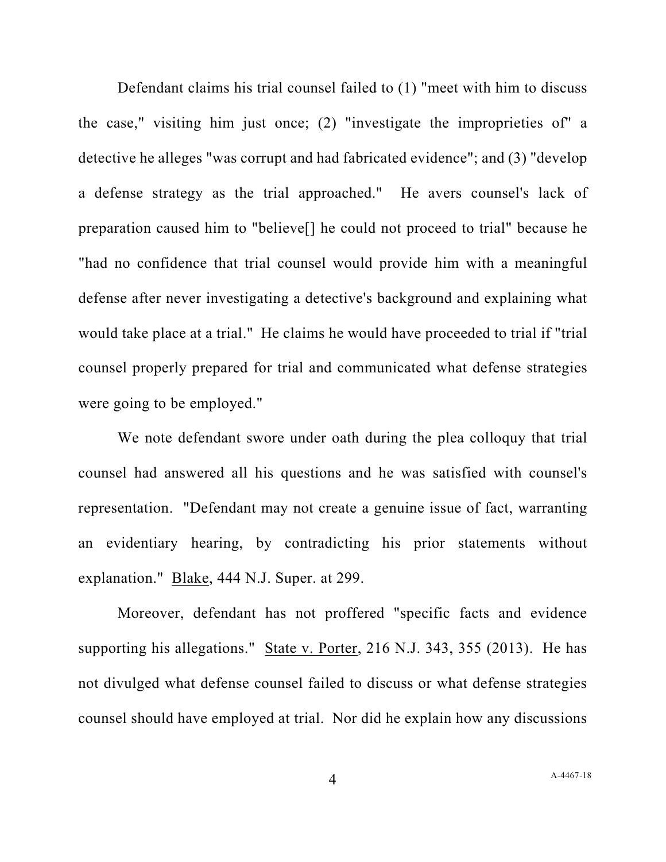Defendant claims his trial counsel failed to (1) "meet with him to discuss the case," visiting him just once; (2) "investigate the improprieties of" a detective he alleges "was corrupt and had fabricated evidence"; and (3) "develop a defense strategy as the trial approached." He avers counsel's lack of preparation caused him to "believe[] he could not proceed to trial" because he "had no confidence that trial counsel would provide him with a meaningful defense after never investigating a detective's background and explaining what would take place at a trial." He claims he would have proceeded to trial if "trial counsel properly prepared for trial and communicated what defense strategies were going to be employed."

We note defendant swore under oath during the plea colloquy that trial counsel had answered all his questions and he was satisfied with counsel's representation. "Defendant may not create a genuine issue of fact, warranting an evidentiary hearing, by contradicting his prior statements without explanation." Blake, 444 N.J. Super. at 299.

Moreover, defendant has not proffered "specific facts and evidence supporting his allegations." State v. Porter, 216 N.J. 343, 355 (2013). He has not divulged what defense counsel failed to discuss or what defense strategies counsel should have employed at trial. Nor did he explain how any discussions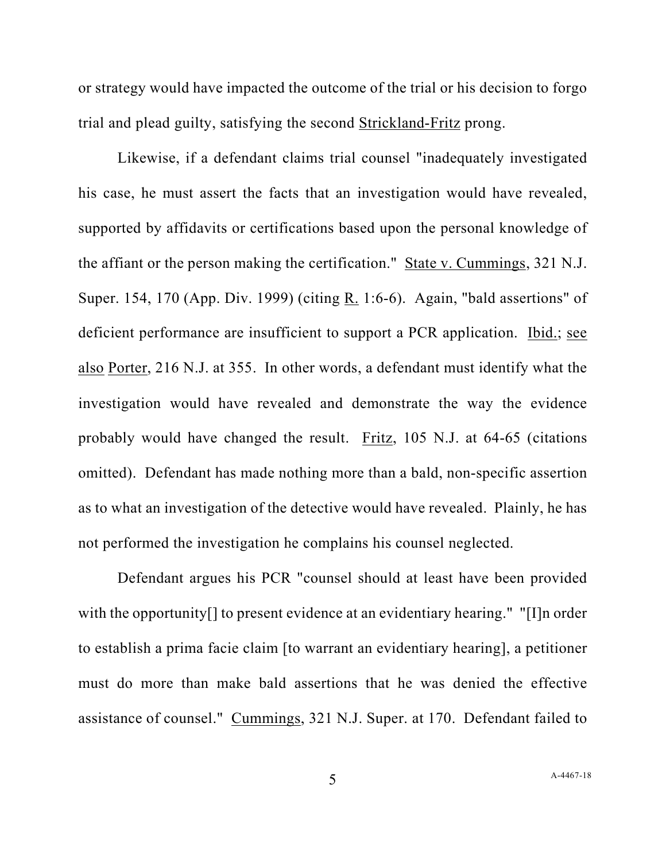or strategy would have impacted the outcome of the trial or his decision to forgo trial and plead guilty, satisfying the second Strickland-Fritz prong.

Likewise, if a defendant claims trial counsel "inadequately investigated his case, he must assert the facts that an investigation would have revealed, supported by affidavits or certifications based upon the personal knowledge of the affiant or the person making the certification." State v. Cummings, 321 N.J. Super. 154, 170 (App. Div. 1999) (citing R. 1:6-6). Again, "bald assertions" of deficient performance are insufficient to support a PCR application. Ibid.; see also Porter, 216 N.J. at 355. In other words, a defendant must identify what the investigation would have revealed and demonstrate the way the evidence probably would have changed the result. Fritz, 105 N.J. at 64-65 (citations omitted). Defendant has made nothing more than a bald, non-specific assertion as to what an investigation of the detective would have revealed. Plainly, he has not performed the investigation he complains his counsel neglected.

Defendant argues his PCR "counsel should at least have been provided with the opportunity[] to present evidence at an evidentiary hearing." "[I]n order to establish a prima facie claim [to warrant an evidentiary hearing], a petitioner must do more than make bald assertions that he was denied the effective assistance of counsel." Cummings, 321 N.J. Super. at 170. Defendant failed to